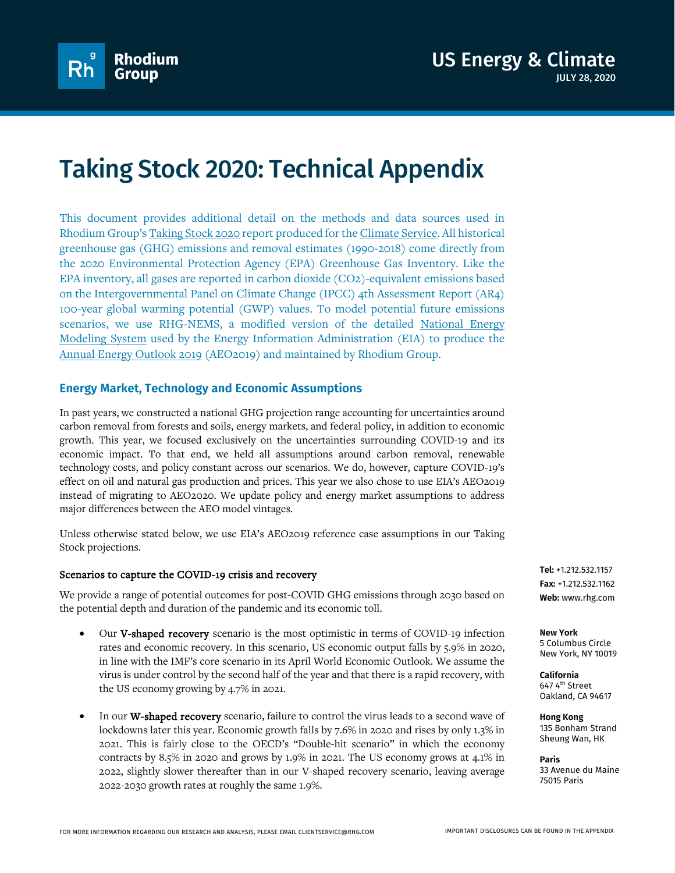

# Taking Stock 2020: Technical Appendix

This document provides additional detail on the methods and data sources used in Rhodium Group'[s Taking Stock 2020](https://www.rhg.com/research/taking-stock-2020/) report produced for th[e Climate Service.](https://rhg.com/impact/us-climate-service/) All historical greenhouse gas (GHG) emissions and removal estimates (1990-2018) come directly from the 2020 Environmental Protection Agency (EPA) Greenhouse Gas [Inventory.](https://www.epa.gov/ghgemissions/inventory-us-greenhouse-gas-emissions-and-sinks-1990-2018) Like the EPA inventory, all gases are reported in carbon dioxide (CO2)-equivalent emissions based on the Intergovernmental Panel on Climate Change (IPCC) 4th Assessment Report [\(AR4\)](https://www.ipcc.ch/publications_and_data/ar4/wg1/en/ch2s2-10-2.html) 100-year global warming potential (GWP) values. To model potential future emissions scenarios, we use RHG-NEMS, a modified version of the detailed [National Energy](https://www.eia.gov/outlooks/aeo/nems/documentation/)  [Modeling System](https://www.eia.gov/outlooks/aeo/nems/documentation/) used by the Energy Information Administration (EIA) to produce the [Annual Energy Outlook](https://www.eia.gov/outlooks/aeo/nems/documentation/) 2019 (AEO2019) and maintained by Rhodium Group.

# **Energy Market, Technology and Economic Assumptions**

In past years, we constructed a national GHG projection range accounting for uncertainties around carbon removal from forests and soils, energy markets, and federal policy, in addition to economic growth. This year, we focused exclusively on the uncertainties surrounding COVID-19 and its economic impact. To that end, we held all assumptions around carbon removal, renewable technology costs, and policy constant across our scenarios. We do, however, capture COVID-19's effect on oil and natural gas production and prices. This year we also chose to use EIA's AEO2019 instead of migrating to AEO2020. We update policy and energy market assumptions to address major differences between the AEO model vintages.

Unless otherwise stated below, we use EIA's AEO2019 reference case assumptions in our Taking Stock projections.

### Scenarios to capture the COVID-19 crisis and recovery

We provide a range of potential outcomes for post-COVID GHG emissions through 2030 based on the potential depth and duration of the pandemic and its economic toll.

- Our V-shaped recovery scenario is the most optimistic in terms of COVID-19 infection rates and economic recovery. In this scenario, US economic output falls by 5.9% in 2020, in line with the IMF's core scenario in its April World Economic Outlook. We assume the virus is under control by the second half of the year and that there is a rapid recovery, with the US economy growing by 4.7% in 2021.
- In our W-shaped recovery scenario, failure to control the virus leads to a second wave of lockdowns later this year. Economic growth falls by 7.6% in 2020 and rises by only 1.3% in 2021. This is fairly close to the OECD's "Double-hit scenario" in which the economy contracts by 8.5% in 2020 and grows by 1.9% in 2021. The US economy grows at 4.1% in 2022, slightly slower thereafter than in our V-shaped recovery scenario, leaving average 2022-2030 growth rates at roughly the same 1.9%.

**Tel:** +1.212.532.1157 **Fax:** +1.212.532.1162 **Web:** www.rhg.com

**New York** 5 Columbus Circle New York, NY 10019

**California** 647 4th Street Oakland, CA 94617

**Hong Kong** 135 Bonham Strand Sheung Wan, HK

**Paris** 33 Avenue du Maine 75015 Paris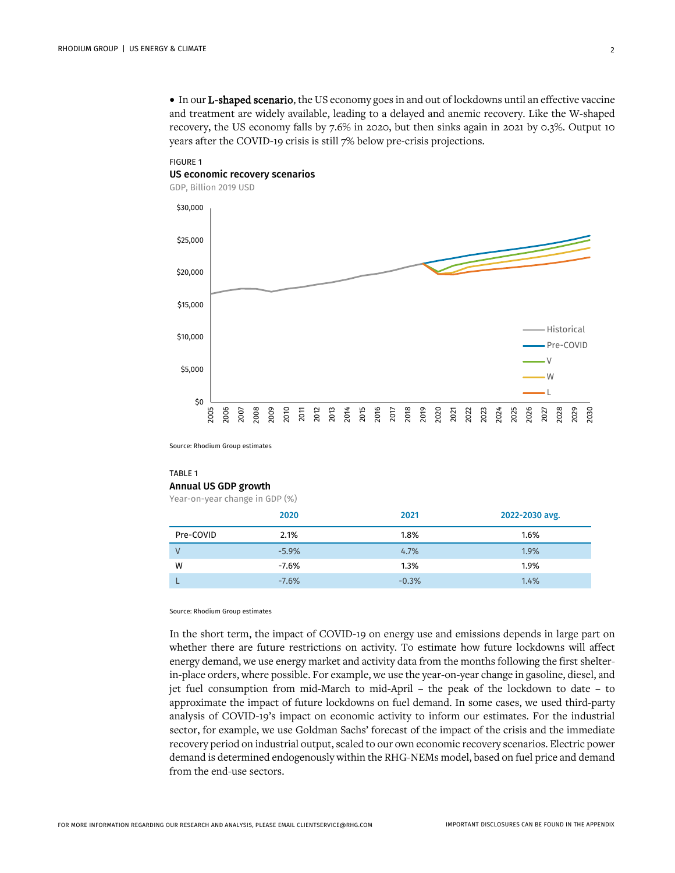• In our L-shaped scenario, the US economy goes in and out of lockdowns until an effective vaccine and treatment are widely available, leading to a delayed and anemic recovery. Like the W-shaped recovery, the US economy falls by 7.6% in 2020, but then sinks again in 2021 by 0.3%. Output 10 years after the COVID-19 crisis is still 7% below pre-crisis projections.

## FIGURE 1 US economic recovery scenarios



GDP, Billion 2019 USD

Source: Rhodium Group estimates

#### TABLE 1 Annual US GDP growth

Year-on-year change in GDP (%)

|           | 2020    | 2021    | 2022-2030 avg. |
|-----------|---------|---------|----------------|
| Pre-COVID | 2.1%    | 1.8%    | 1.6%           |
| V         | $-5.9%$ | 4.7%    | 1.9%           |
| W         | $-7.6%$ | 1.3%    | 1.9%           |
|           | $-7.6%$ | $-0.3%$ | 1.4%           |

Source: Rhodium Group estimates

In the short term, the impact of COVID-19 on energy use and emissions depends in large part on whether there are future restrictions on activity. To estimate how future lockdowns will affect energy demand, we use energy market and activity data from the months following the first shelterin-place orders, where possible. For example, we use the year-on-year change in gasoline, diesel, and jet fuel consumption from mid-March to mid-April – the peak of the lockdown to date – to approximate the impact of future lockdowns on fuel demand. In some cases, we used third-party analysis of COVID-19's impact on economic activity to inform our estimates. For the industrial sector, for example, we use Goldman Sachs' forecast of the impact of the crisis and the immediate recovery period on industrial output, scaled to our own economic recovery scenarios. Electric power demand is determined endogenously within the RHG-NEMs model, based on fuel price and demand from the end-use sectors.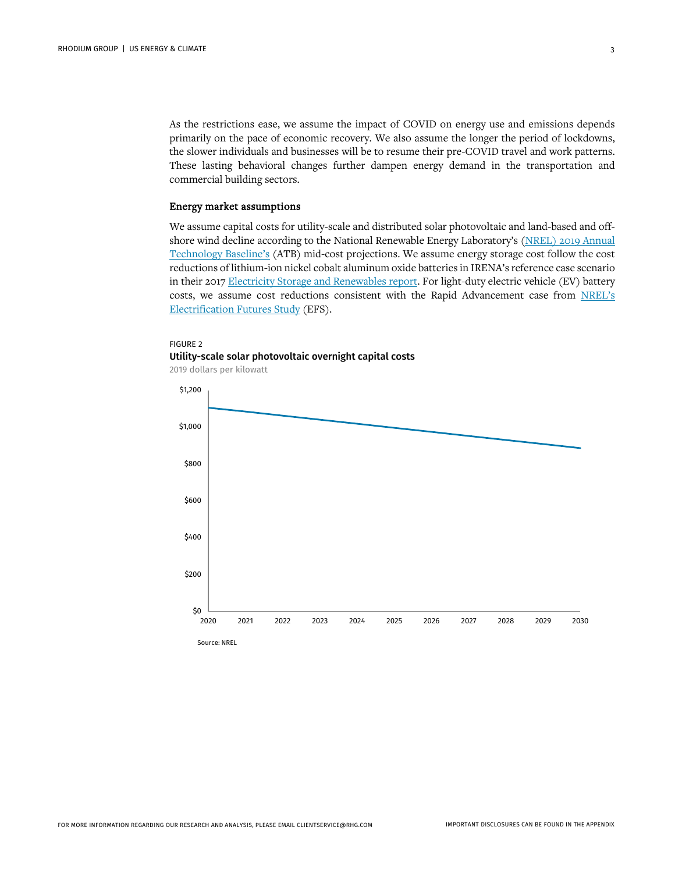As the restrictions ease, we assume the impact of COVID on energy use and emissions depends primarily on the pace of economic recovery. We also assume the longer the period of lockdowns, the slower individuals and businesses will be to resume their pre-COVID travel and work patterns. These lasting behavioral changes further dampen energy demand in the transportation and commercial building sectors.

#### Energy market assumptions

We assume capital costs for utility-scale and distributed solar photovoltaic and land-based and offshore wind decline according to the National Renewable Energy Laboratory's (NREL) 2019 [Annual](https://atb.nrel.gov/)  [Technology Baseline's](https://atb.nrel.gov/) (ATB) mid-cost projections. We assume energy storage cost follow the cost reductions of lithium-ion nickel cobalt aluminum oxide batteries in IRENA's reference case scenario in their 2017 [Electricity Storage and Renewables report.](http://www.irena.org/-/media/Files/IRENA/Agency/Publication/2017/Oct/IRENA_Electricity_Storage_Costs_2017.pdf) For light-duty electric vehicle (EV) battery costs, we assume cost reductions consistent with the Rapid Advancement case from [NREL's](https://www.nrel.gov/docs/fy18osti/70485.pdf) [Electrification Futures Study](https://www.nrel.gov/docs/fy18osti/70485.pdf) (EFS).

# FIGURE 2 Utility-scale solar photovoltaic overnight capital costs

2019 dollars per kilowatt

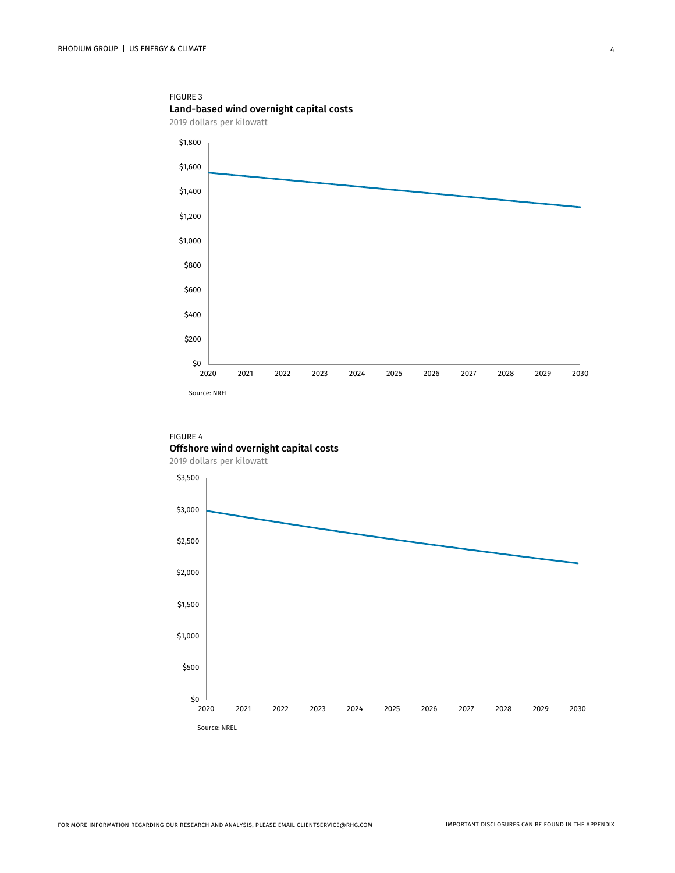FIGURE 3 Land-based wind overnight capital costs





## FIGURE 4 Offshore wind overnight capital costs

2019 dollars per kilowatt

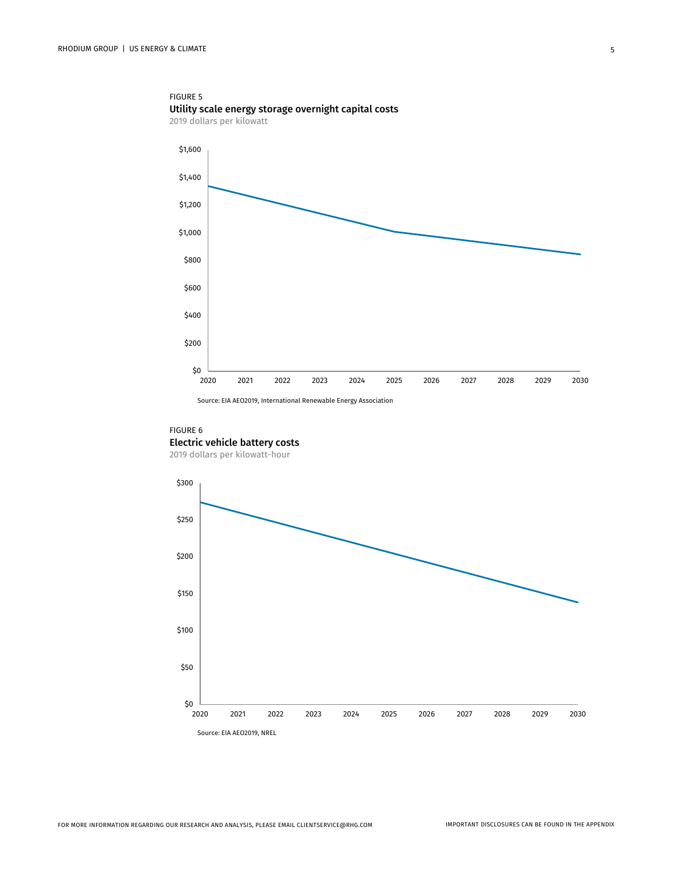

Source: EIA AEO2019, International Renewable Energy Association

### FIGURE 6 Electric vehicle battery costs

2019 dollars per kilowatt-hour

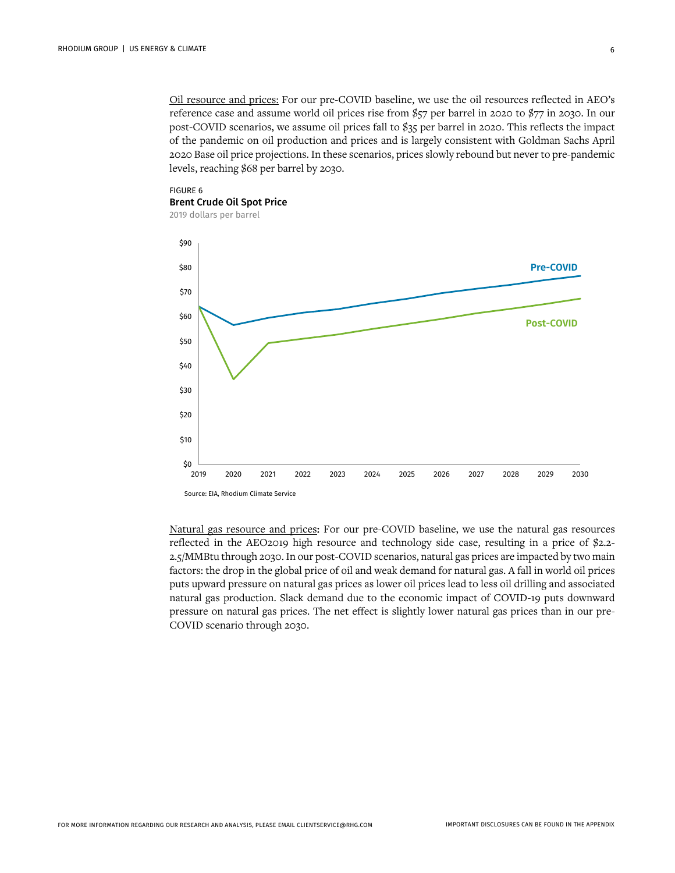Oil resource and prices: For our pre-COVID baseline, we use the oil resources reflected in AEO's reference case and assume world oil prices rise from \$57 per barrel in 2020 to \$77 in 2030. In our post-COVID scenarios, we assume oil prices fall to \$35 per barrel in 2020. This reflects the impact of the pandemic on oil production and prices and is largely consistent with Goldman Sachs April 2020 Base oil price projections. In these scenarios, prices slowly rebound but never to pre-pandemic levels, reaching \$68 per barrel by 2030.



2019 dollars per barrel



Natural gas resource and prices: For our pre-COVID baseline, we use the natural gas resources reflected in the AEO2019 high resource and technology side case, resulting in a price of \$2.2- 2.5/MMBtu through 2030. In our post-COVID scenarios, natural gas prices are impacted by two main factors: the drop in the global price of oil and weak demand for natural gas. A fall in world oil prices puts upward pressure on natural gas prices as lower oil prices lead to less oil drilling and associated natural gas production. Slack demand due to the economic impact of COVID-19 puts downward pressure on natural gas prices. The net effect is slightly lower natural gas prices than in our pre-COVID scenario through 2030.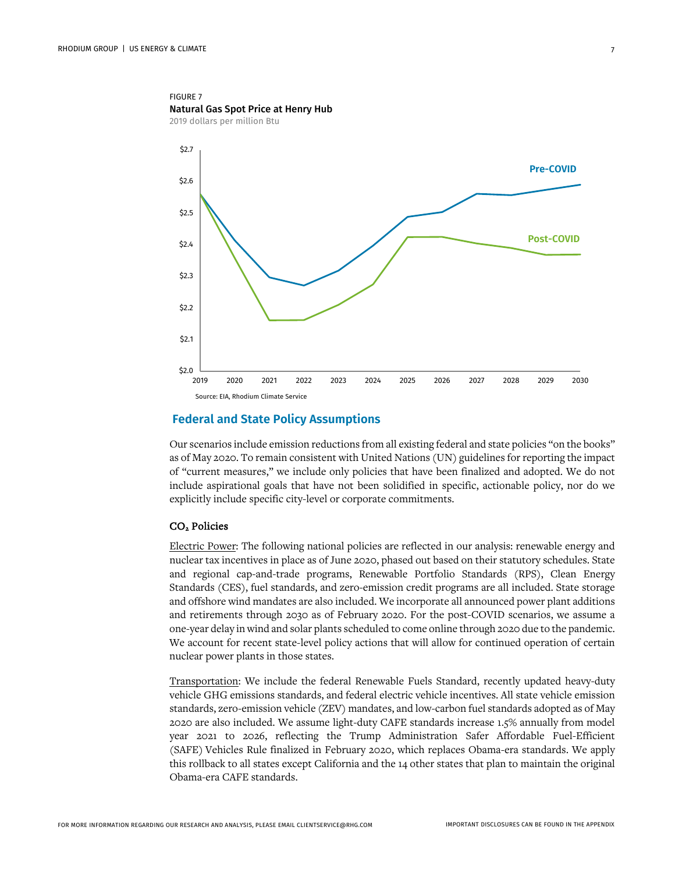

## **Federal and State Policy Assumptions**

Our scenarios include emission reductions from all existing federal and state policies "on the books" as of May 2020. To remain consistent with United Nations (UN) guidelines for reporting the impact of "current measures," we include only policies that have been finalized and adopted. We do not include aspirational goals that have not been solidified in specific, actionable policy, nor do we explicitly include specific city-level or corporate commitments.

#### CO2 Policies

Electric Power: The following national policies are reflected in our analysis: renewable energy and nuclear tax incentives in place as of June 2020, phased out based on their statutory schedules. State and regional cap-and-trade programs, Renewable Portfolio Standards (RPS), Clean Energy Standards (CES), fuel standards, and zero-emission credit programs are all included. State storage and offshore wind mandates are also included. We incorporate all announced power plant additions and retirements through 2030 as of February 2020. For the post-COVID scenarios, we assume a one-year delay in wind and solar plants scheduled to come online through 2020 due to the pandemic. We account for recent state-level policy actions that will allow for continued operation of certain nuclear power plants in those states.

Transportation: We include the federal Renewable Fuels Standard, recently updated heavy-duty vehicle GHG emissions standards, and federal electric vehicle incentives. All state vehicle emission standards, zero-emission vehicle (ZEV) mandates, and low-carbon fuel standards adopted as of May 2020 are also included. We assume light-duty CAFE standards increase 1.5% annually from model year 2021 to 2026, reflecting the Trump Administration Safer Affordable Fuel-Efficient (SAFE) Vehicles Rule finalized in February 2020, which replaces Obama-era standards. We apply this rollback to all states except California and the 14 other states that plan to maintain the original Obama-era CAFE standards.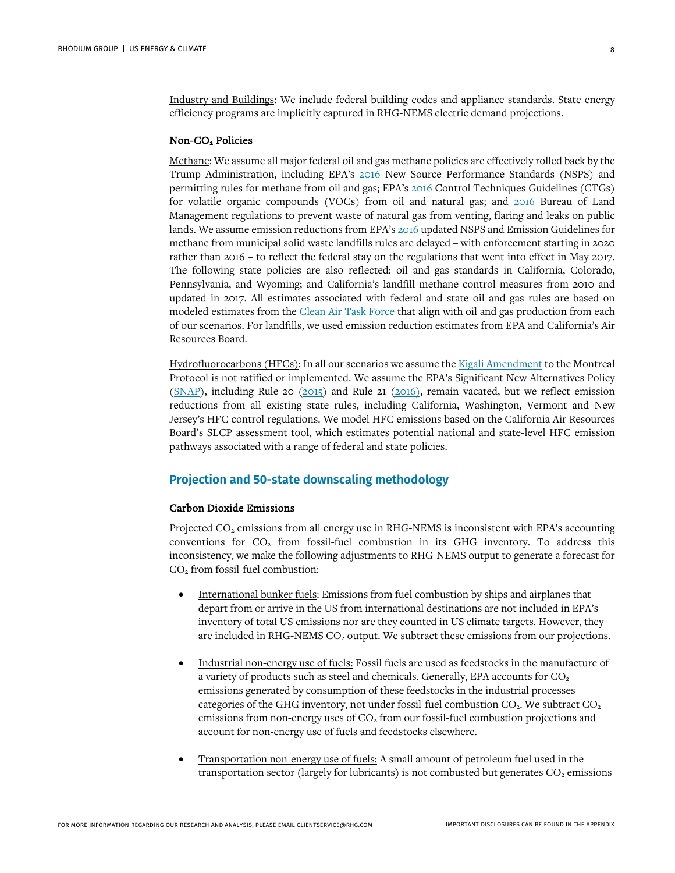Industry and Buildings: We include federal building codes and appliance standards. State energy efficiency programs are implicitly captured in RHG-NEMS electric demand projections.

### Non-CO2 Policies

Methane: We assume all major federal oil and gas methane policies are effectively rolled back by the Trump Administration, including EPA's [2016](https://www.epa.gov/controlling-air-pollution-oil-and-natural-gas-industry/new-source-performance-standards-and) New Source Performance Standards (NSPS) and permitting rules for methane from oil and gas; EPA's [2016](https://www.epa.gov/controlling-air-pollution-oil-and-natural-gas-industry/2016-control-techniques-guidelines-oil-and) Control Techniques Guidelines (CTGs) for volatile organic compounds (VOCs) from oil and natural gas; and [2016](https://www.regulations.gov/document?D=BLM-2016-0001-9126) Bureau of Land Management regulations to prevent waste of natural gas from venting, flaring and leaks on public lands. We assume emission reductions from EPA's [2016](https://www.epa.gov/stationary-sources-air-pollution/municipal-solid-waste-landfills-proposed-and-final-air-regulation) updated NSPS and Emission Guidelines for methane from municipal solid waste landfills rules are delayed – with enforcement starting in 2020 rather than 2016 – to reflect the federal stay on the regulations that went into effect in May 2017. The following state policies are also reflected: oil and gas standards in California, Colorado, Pennsylvania, and Wyoming; and California's landfill methane control measures from 2010 and updated in 2017. All estimates associated with federal and state oil and gas rules are based on modeled estimates from th[e Clean Air Task Force](http://www.catf.us/) that align with oil and gas production from each of our scenarios. For landfills, we used emission reduction estimates from EPA and California's Air Resources Board.

Hydrofluorocarbons (HFCs): In all our scenarios we assume the [Kigali Amendment](https://treaties.un.org/doc/Publication/CN/2016/CN.872.2016-Eng.pdf) to the Montreal Protocol is not ratified or implemented. We assume the EPA's Significant New Alternatives Policy [\(SNAP\)](https://www.epa.gov/snap/snap-regulations), including Rule 20 ( $2015$ ) and Rule 21 ( $2016$ ), remain vacated, but we reflect emission reductions from all existing state rules, including California, Washington, Vermont and New Jersey's HFC control regulations. We model HFC emissions based on the California Air Resources Board's SLCP assessment tool, which estimates potential national and state-level HFC emission pathways associated with a range of federal and state policies.

## **Projection and 50-state downscaling methodology**

#### Carbon Dioxide Emissions

Projected CO<sub>2</sub> emissions from all energy use in RHG-NEMS is inconsistent with EPA's accounting conventions for  $CO<sub>2</sub>$  from fossil-fuel combustion in its GHG inventory. To address this inconsistency, we make the following adjustments to RHG-NEMS output to generate a forecast for CO2 from fossil-fuel combustion:

- International bunker fuels: Emissions from fuel combustion by ships and airplanes that depart from or arrive in the US from international destinations are not included in EPA's inventory of total US emissions nor are they counted in US climate targets. However, they are included in RHG-NEMS CO<sub>2</sub> output. We subtract these emissions from our projections.
- Industrial non-energy use of fuels: Fossil fuels are used as feedstocks in the manufacture of a variety of products such as steel and chemicals. Generally, EPA accounts for  $CO<sub>2</sub>$ emissions generated by consumption of these feedstocks in the industrial processes categories of the GHG inventory, not under fossil-fuel combustion  $CO<sub>2</sub>$ . We subtract  $CO<sub>2</sub>$ emissions from non-energy uses of  $CO<sub>2</sub>$  from our fossil-fuel combustion projections and account for non-energy use of fuels and feedstocks elsewhere.
- Transportation non-energy use of fuels: A small amount of petroleum fuel used in the transportation sector (largely for lubricants) is not combusted but generates  $CO<sub>2</sub>$  emissions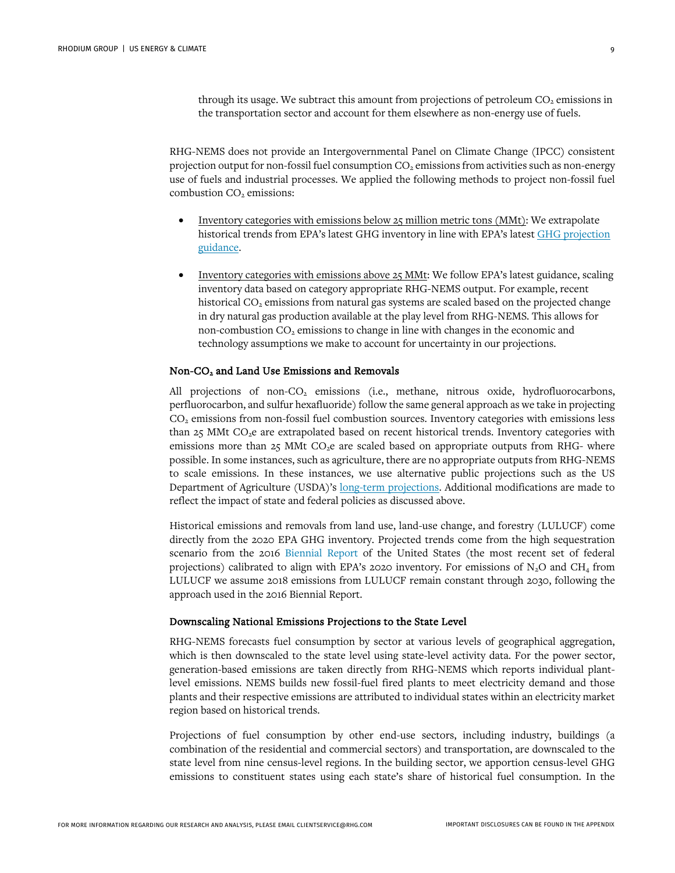through its usage. We subtract this amount from projections of petroleum  $CO<sub>2</sub>$  emissions in the transportation sector and account for them elsewhere as non-energy use of fuels.

RHG-NEMS does not provide an Intergovernmental Panel on Climate Change (IPCC) consistent projection output for non-fossil fuel consumption  $CO<sub>2</sub>$  emissions from activities such as non-energy use of fuels and industrial processes. We applied the following methods to project non-fossil fuel combustion CO<sub>2</sub> emissions:

- Inventory categories with emissions below 25 million metric tons (MMt): We extrapolate historical trends from EPA's latest GHG inventory in line with EPA's lates[t GHG projection](https://unfccc.int/files/national_reports/biennial_reports_and_iar/submitted_biennial_reports/application/pdf/methodologies_for_u_s__greenhouse_gas_emissions_projections.pdf)  [guidance.](https://unfccc.int/files/national_reports/biennial_reports_and_iar/submitted_biennial_reports/application/pdf/methodologies_for_u_s__greenhouse_gas_emissions_projections.pdf)
- Inventory categories with emissions above 25 MMt: We follow EPA's latest guidance, scaling inventory data based on category appropriate RHG-NEMS output. For example, recent historical CO<sub>2</sub> emissions from natural gas systems are scaled based on the projected change in dry natural gas production available at the play level from RHG-NEMS. This allows for non-combustion  $CO<sub>2</sub>$  emissions to change in line with changes in the economic and technology assumptions we make to account for uncertainty in our projections.

#### Non-CO2 and Land Use Emissions and Removals

All projections of non-CO<sub>2</sub> emissions (i.e., methane, nitrous oxide, hydrofluorocarbons, perfluorocarbon, and sulfur hexafluoride) follow the same general approach as we take in projecting CO2 emissions from non-fossil fuel combustion sources. Inventory categories with emissions less than 25 MMt CO<sub>2</sub>e are extrapolated based on recent historical trends. Inventory categories with emissions more than  $25$  MMt CO<sub>2</sub>e are scaled based on appropriate outputs from RHG- where possible. In some instances, such as agriculture, there are no appropriate outputs from RHG-NEMS to scale emissions. In these instances, we use alternative public projections such as the US Department of Agriculture (USDA)'s [long-term projections.](https://www.usda.gov/oce/commodity/projections/) Additional modifications are made to reflect the impact of state and federal policies as discussed above.

Historical emissions and removals from land use, land-use change, and forestry (LULUCF) come directly from the 2020 EPA GHG inventory. Projected trends come from the high sequestration scenario from the 2016 [Biennial Report](https://unfccc.int/files/national_reports/biennial_reports_and_iar/submitted_biennial_reports/application/pdf/2016_second_biennial_report_of_the_united_states_.pdf) of the United States (the most recent set of federal projections) calibrated to align with EPA's 2020 inventory. For emissions of  $N_2O$  and CH<sub>4</sub> from LULUCF we assume 2018 emissions from LULUCF remain constant through 2030, following the approach used in the 2016 Biennial Report.

#### Downscaling National Emissions Projections to the State Level

RHG-NEMS forecasts fuel consumption by sector at various levels of geographical aggregation, which is then downscaled to the state level using state-level activity data. For the power sector, generation-based emissions are taken directly from RHG-NEMS which reports individual plantlevel emissions. NEMS builds new fossil-fuel fired plants to meet electricity demand and those plants and their respective emissions are attributed to individual states within an electricity market region based on historical trends.

Projections of fuel consumption by other end-use sectors, including industry, buildings (a combination of the residential and commercial sectors) and transportation, are downscaled to the state level from nine census-level regions. In the building sector, we apportion census-level GHG emissions to constituent states using each state's share of historical fuel consumption. In the